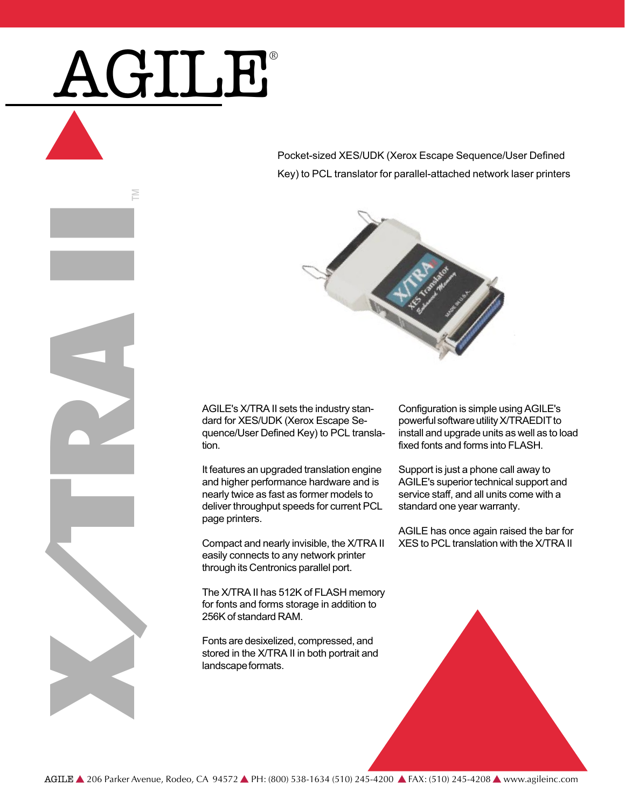# AGILE®

m

XX III DAY

Pocket-sized XES/UDK (Xerox Escape Sequence/User Defined Key) to PCL translator for parallel-attached network laser printers



AGILE's X/TRA II sets the industry standard for XES/UDK (Xerox Escape Sequence/User Defined Key) to PCL translation.

It features an upgraded translation engine and higher performance hardware and is nearly twice as fast as former models to deliver throughput speeds for current PCL page printers.

Compact and nearly invisible, the X/TRA II easily connects to any network printer through its Centronics parallel port.

The X/TRA II has 512K of FLASH memory for fonts and forms storage in addition to 256K of standard RAM.

Fonts are desixelized, compressed, and stored in the X/TRA II in both portrait and landscape formats.

Configuration is simple using AGILE's powerful software utility X/TRAEDIT to install and upgrade units as well as to load fixed fonts and forms into FLASH.

Support is just a phone call away to AGILE's superior technical support and service staff, and all units come with a standard one year warranty.

AGILE has once again raised the bar for XES to PCL translation with the X/TRA II